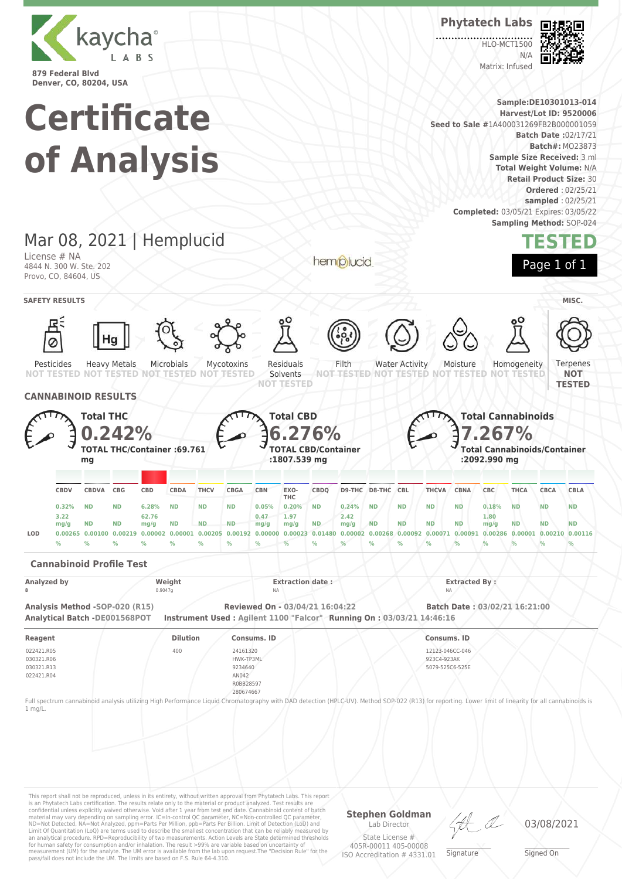

**Phytatech Labs**

HLO-MCT1500  $N/4$ Matrix: Infused



**Sample:DE10301013-014 Certificate Harvest/Lot ID: 9520006 Seed to Sale #**1A400031269FB2B000001059 **Batch Date :**02/17/21 **Batch#:** MO23873 **of Analysis Sample Size Received:** 3 ml **Total Weight Volume:** N/A **Retail Product Size:** 30 **Ordered** : 02/25/21 **sampled** : 02/25/21 **Completed:** 03/05/21 Expires: 03/05/22 **Sampling Method:** SOP-024 Mar 08, 2021 | Hemplucid **TESTED** License # NA hemplucid Page 1 of 1 4844 N. 300 W. Ste. 202 Provo, CO, 84604, US **SAFETY RESULTS** / **MISC.** Heavy Metals Microbials Mycotoxins Residuals Filth Water Activity Moisture Homogeneity **Terpenes** Pesticides Solvents **NOT NOT TESTED NOT TESTED NOT TESTED NOT TESTED NOT TESTED NOT TESTED NOT TESTED NOT TESTED NOT TESTED TESTED CANNABINOID RESULTS Total THC Total CBD Total Cannabinoids 0.242% 6.276% 7.267% TOTAL THC/Container :69.761 TOTAL CBD/Container Total Cannabinoids/Container :1807.539 mg :2092.990 mg mg CBDQ D9-THC D8-THC CBL THCVA CBNA CBC THCA CBCA CBLA CBDV CBDVA CBG CBD CBDA THCV CBGA CBN EXO-THC 0.32% ND ND 6.28% ND ND ND 0.05% 0.20% ND 0.24% ND ND ND ND 0.18% ND ND ND 3.22 62.76 0.47 2.42 1.97 1.80 mg/g ND ND mg/g ND ND ND mg/g mg/g ND mg/g ND ND ND ND mg/g ND ND ND** LOD 0.00265 0.00100 0.00219 0.00002 0.00001 0.00205 0.00192 0.00000 0.00023 0.01480 0.00002 0.00268 0.00092 0.00071 0.00091 0.00286 0.00001 0.00210 0.00116 **% % % % % % % % % % % % % % % % % % % Cannabinoid Profile Test** Analyzed by **Extracted By : Weight Extraction date : Extraction date : Extracted By : 8** 0.9047g NA NA **Analysis Method -SOP-020 (R15) Reviewed On - 03/04/21 16:04:22 Batch Date : 03/02/21 16:21:00 Analytical Batch -DE001568POT Instrument Used : Agilent 1100 "Falcor" Running On : 03/03/21 14:46:16 Reagent Dilution Consums. ID Consums. ID** 022421.R05 400 24161320 12123-046CC-046 030321.R06 HWK-TP3ML 923C4-923AK 030321.R13 9234640 5079-525C6-525E 022421.R04 AN042 R0BB28597 280674667 Full spectrum cannabinoid analysis utilizing High Performance Liquid Chromatography with DAD detection (HPLC-UV). Method SOP-022 (R13) for reporting. Lower limit of linearity for all cannabinoids is 1 mg/L.This report shall not be reproduced, unless in its entirety, without written approval from Phytatech Labs. This report

is an Phytatech Labs certification. The results relate only to the material or product analyzed. Test results are<br>confidential unless explicitly waived otherwise. Void after 1 year from test end date. Cannabinoid content o Limit Of Quantitation (LoQ) are terms used to describe the smallest concentration that can be reliably measured by an analytical procedure. RPD=Reproducibility of two measurements. Action Levels are State determined thresholds for human safety for consumption and/or inhalation. The result >99% are variable based on uncertainty of measurement (UM) for the analyte. The UM error is available from the lab upon request.The "Decision Rule" for the pass/fail does not include the UM. The limits are based on F.S. Rule 64-4.310.

**Stephen Goldman** Lab Director

State License # 405R-00011 405-00008 ISO Accreditation # 4331.01

\_\_\_\_\_\_\_\_\_\_\_\_\_\_\_\_\_\_\_ Signature

03/08/2021

\_\_\_\_\_\_\_\_\_\_\_\_\_\_\_\_\_\_\_ Signed On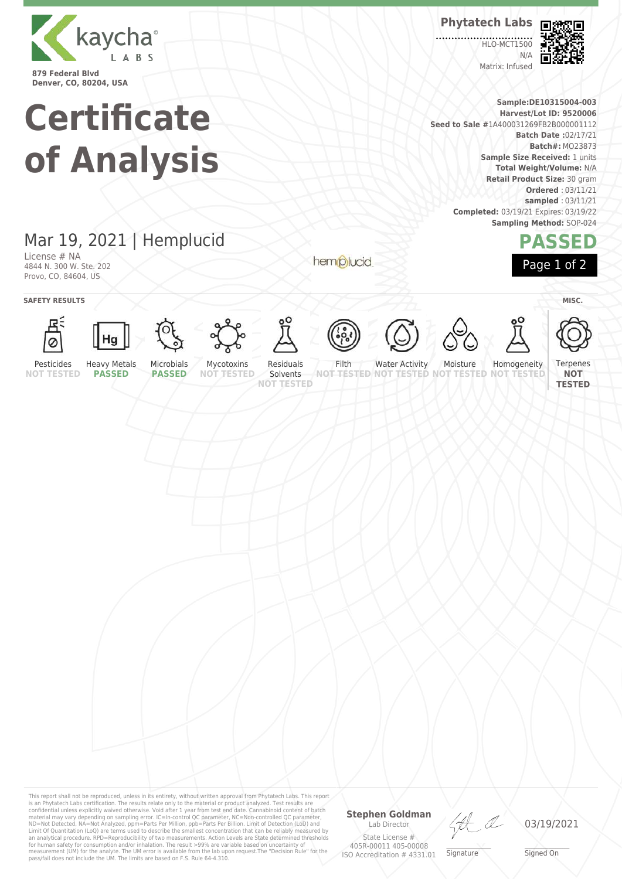

**Certificate of Analysis**

# Mar 19, 2021 | Hemplucid

License # NA 4844 N. 300 W. Ste. 202 Provo, CO, 84604, US

hemplucid



**Sample:DE10315004-003 Harvest/Lot ID: 9520006 Seed to Sale #**1A400031269FB2B000001112 **Batch Date :**02/17/21 **Batch#:** MO23873 **Sample Size Received:** 1 units **Total Weight/Volume:** N/A **Retail Product Size:** 30 gram **Ordered** : 03/11/21 **sampled** : 03/11/21 **Completed:** 03/19/21 Expires: 03/19/22 **Sampling Method:** SOP-024

**Phytatech Labs**

**HLO-MCT1500** 

Matrix: Infused

 $N/L$ 

## **PASSED** Page 1 of 2



This report shall not be reproduced, unless in its entirety, without written approval from Phytatech Labs. This report<br>is an Phytatech Labs certification. The results relate only to the material or product analyzed. Test

## **Stephen Goldman**

Lab Director State License # 405R-00011 405-00008 ISO Accreditation # 4331.01

\_\_\_\_\_\_\_\_\_\_\_\_\_\_\_\_\_\_\_ Signature

03/19/2021

\_\_\_\_\_\_\_\_\_\_\_\_\_\_\_\_\_\_\_ Signed On